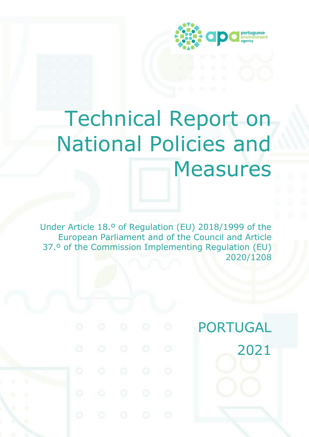

# Technical Report on National Policies and Measures

Under Article 18.º of Regulation (EU) 2018/1999 of the European Parliament and of the Council and Article 37.º of the Commission Implementing Regulation (EU) 2020/1208

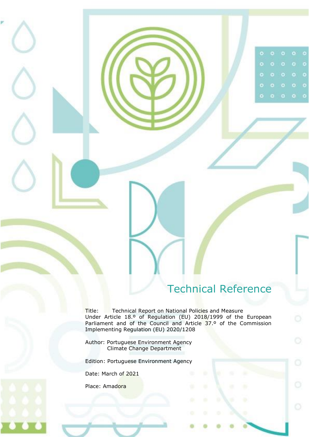# Technical Reference

 $\bullet$ 

ō

 $\bullet$ 

 $\circ$ 

<span id="page-1-0"></span>Title: Technical Report on National Policies and Measure Under Article 18.º of Regulation (EU) 2018/1999 of the European Parliament and of the Council and Article 37.º of the Commission Implementing Regulation (EU) 2020/1208

Author: Portuguese Environment Agency Climate Change Department

Edition: Portuguese Environment Agency

Date: March of 2021

Place: Amadora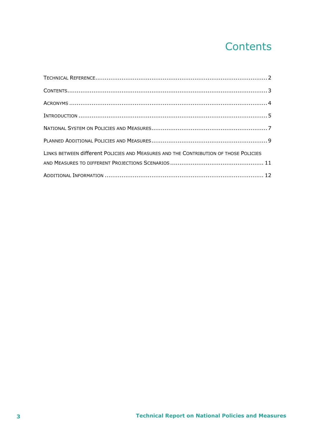# Contents

<span id="page-2-0"></span>

| LINKS BETWEEN different POLICIES AND MEASURES AND THE CONTRIBUTION OF THOSE POLICIES |  |
|--------------------------------------------------------------------------------------|--|
|                                                                                      |  |
|                                                                                      |  |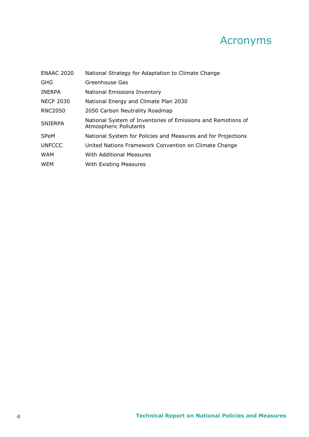# Acronyms

<span id="page-3-0"></span>

| <b>ENAAC 2020</b> | National Strategy for Adaptation to Climate Change                                            |
|-------------------|-----------------------------------------------------------------------------------------------|
| <b>GHG</b>        | Greenhouse Gas                                                                                |
| <b>INERPA</b>     | National Emissions Inventory                                                                  |
| <b>NECP 2030</b>  | National Energy and Climate Plan 2030                                                         |
| <b>RNC2050</b>    | 2050 Carbon Neutrality Roadmap                                                                |
| <b>SNIERPA</b>    | National System of Inventories of Emissions and Remotions of<br><b>Atmospheric Pollutants</b> |
| <b>SPeM</b>       | National System for Policies and Measures and for Projections                                 |
| <b>UNFCCC</b>     | United Nations Framework Convention on Climate Change                                         |
| <b>WAM</b>        | With Additional Measures                                                                      |
| <b>WEM</b>        | With Existing Measures                                                                        |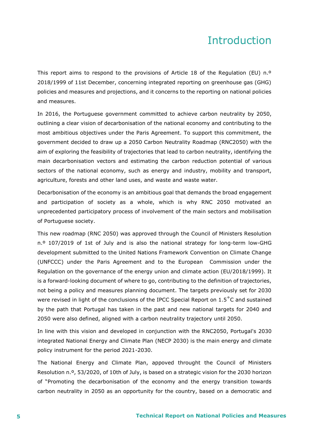### Introduction

<span id="page-4-0"></span>This report aims to respond to the provisions of Article 18 of the Regulation (EU) n.<sup>o</sup> 2018/1999 of 11st December, concerning integrated reporting on greenhouse gas (GHG) policies and measures and projections, and it concerns to the reporting on national policies and measures.

In 2016, the Portuguese government committed to achieve carbon neutrality by 2050, outlining a clear vision of decarbonisation of the national economy and contributing to the most ambitious objectives under the Paris Agreement. To support this commitment, the government decided to draw up a 2050 Carbon Neutrality Roadmap (RNC2050) with the aim of exploring the feasibility of trajectories that lead to carbon neutrality, identifying the main decarbonisation vectors and estimating the carbon reduction potential of various sectors of the national economy, such as energy and industry, mobility and transport, agriculture, forests and other land uses, and waste and waste water.

Decarbonisation of the economy is an ambitious goal that demands the broad engagement and participation of society as a whole, which is why RNC 2050 motivated an unprecedented participatory process of involvement of the main sectors and mobilisation of Portuguese society.

This new roadmap (RNC 2050) was approved through the Council of Ministers Resolution n.º 107/2019 of 1st of July and is also the national strategy for long-term low-GHG development submitted to the United Nations Framework Convention on Climate Change (UNFCCC) under the Paris Agreement and to the European Commission under the Regulation on the governance of the energy union and climate action (EU/2018/1999). It is a forward-looking document of where to go, contributing to the definition of trajectories, not being a policy and measures planning document. The targets previously set for 2030 were revised in light of the conclusions of the IPCC Special Report on 1.5˚C and sustained by the path that Portugal has taken in the past and new national targets for 2040 and 2050 were also defined, aligned with a carbon neutrality trajectory until 2050.

In line with this vision and developed in conjunction with the RNC2050, Portugal's 2030 integrated National Energy and Climate Plan (NECP 2030) is the main energy and climate policy instrument for the period 2021-2030.

The National Energy and Climate Plan, appoved throught the Council of Ministers Resolution n.º, 53/2020, of 10th of July, is based on a strategic vision for the 2030 horizon of "Promoting the decarbonisation of the economy and the energy transition towards carbon neutrality in 2050 as an opportunity for the country, based on a democratic and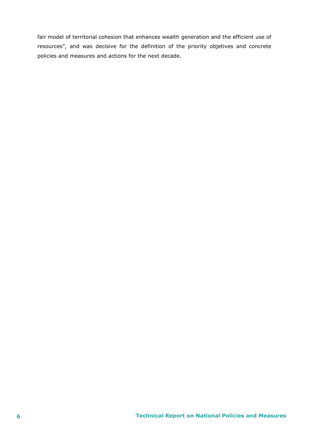fair model of territorial cohesion that enhances wealth generation and the efficient use of resources", and was decisive for the definition of the priority objetives and concrete policies and measures and actions for the next decade.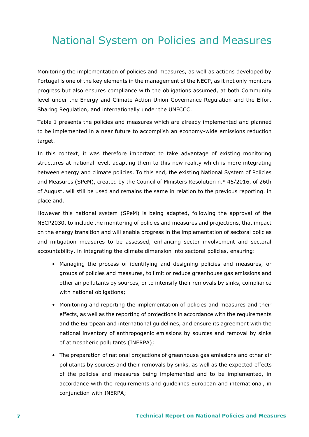# <span id="page-6-0"></span>National System on Policies and Measures

Monitoring the implementation of policies and measures, as well as actions developed by Portugal is one of the key elements in the management of the NECP, as it not only monitors progress but also ensures compliance with the obligations assumed, at both Community level under the Energy and Climate Action Union Governance Regulation and the Effort Sharing Regulation, and internationally under the UNFCCC.

Table 1 presents the policies and measures which are already implemented and planned to be implemented in a near future to accomplish an economy-wide emissions reduction target.

In this context, it was therefore important to take advantage of existing monitoring structures at national level, adapting them to this new reality which is more integrating between energy and climate policies. To this end, the existing National System of Policies and Measures (SPeM), created by the Council of Ministers Resolution n.º 45/2016, of 26th of August, will still be used and remains the same in relation to the previous reporting. in place and.

However this national system (SPeM) is being adapted, following the approval of the NECP2030, to include the monitoring of policies and measures and projections, that impact on the energy transition and will enable progress in the implementation of sectoral policies and mitigation measures to be assessed, enhancing sector involvement and sectoral accountability, in integrating the climate dimension into sectoral policies, ensuring:

- Managing the process of identifying and designing policies and measures, or groups of policies and measures, to limit or reduce greenhouse gas emissions and other air pollutants by sources, or to intensify their removals by sinks, compliance with national obligations;
- Monitoring and reporting the implementation of policies and measures and their effects, as well as the reporting of projections in accordance with the requirements and the European and international guidelines, and ensure its agreement with the national inventory of anthropogenic emissions by sources and removal by sinks of atmospheric pollutants (INERPA);
- The preparation of national projections of greenhouse gas emissions and other air pollutants by sources and their removals by sinks, as well as the expected effects of the policies and measures being implemented and to be implemented, in accordance with the requirements and guidelines European and international, in conjunction with INERPA;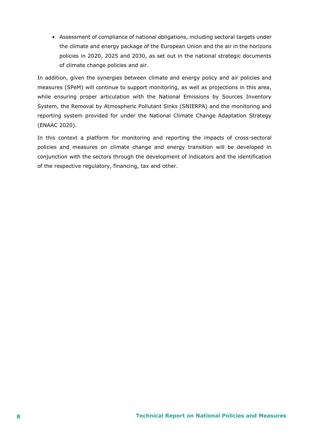• Assessment of compliance of national obligations, including sectoral targets under the climate and energy package of the European Union and the air in the horizons policies in 2020, 2025 and 2030, as set out in the national strategic documents of climate change policies and air.

In addition, given the synergies between climate and energy policy and air policies and measures (SPeM) will continue to support monitoring, as well as projections in this area, while ensuring proper articulation with the National Emissions by Sources Inventory System, the Removal by Atmospheric Pollutant Sinks (SNIERPA) and the monitoring and reporting system provided for under the National Climate Change Adaptation Strategy (ENAAC 2020).

In this context a platform for monitoring and reporting the impacts of cross-sectoral policies and measures on climate change and energy transition will be developed in conjunction with the sectors through the development of indicators and the identification of the respective regulatory, financing, tax and other.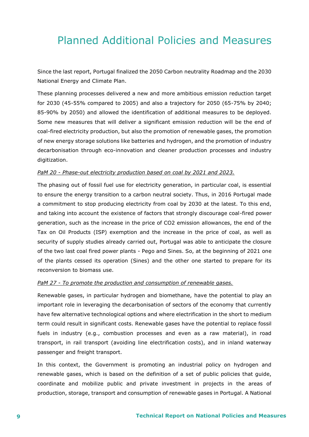# <span id="page-8-0"></span>Planned Additional Policies and Measures

Since the last report, Portugal finalized the 2050 Carbon neutrality Roadmap and the 2030 National Energy and Climate Plan.

These planning processes delivered a new and more ambitious emission reduction target for 2030 (45-55% compared to 2005) and also a trajectory for 2050 (65-75% by 2040; 85-90% by 2050) and allowed the identification of additional measures to be deployed. Some new measures that will deliver a significant emission reduction will be the end of coal-fired electricity production, but also the promotion of renewable gases, the promotion of new energy storage solutions like batteries and hydrogen, and the promotion of industry decarbonisation through eco-innovation and cleaner production processes and industry digitization.

#### *PaM 20 - Phase-out electricity production based on coal by 2021 and 2023.*

The phasing out of fossil fuel use for electricity generation, in particular coal, is essential to ensure the energy transition to a carbon neutral society. Thus, in 2016 Portugal made a commitment to stop producing electricity from coal by 2030 at the latest. To this end, and taking into account the existence of factors that strongly discourage coal-fired power generation, such as the increase in the price of CO2 emission allowances, the end of the Tax on Oil Products (ISP) exemption and the increase in the price of coal, as well as security of supply studies already carried out, Portugal was able to anticipate the closure of the two last coal fired power plants - Pego and Sines. So, at the beginning of 2021 one of the plants cessed its operation (Sines) and the other one started to prepare for its reconversion to biomass use.

#### *PaM 27 - To promote the production and consumption of renewable gases.*

Renewable gases, in particular hydrogen and biomethane, have the potential to play an important role in leveraging the decarbonisation of sectors of the economy that currently have few alternative technological options and where electrification in the short to medium term could result in significant costs. Renewable gases have the potential to replace fossil fuels in industry (e.g., combustion processes and even as a raw material), in road transport, in rail transport (avoiding line electrification costs), and in inland waterway passenger and freight transport.

In this context, the Government is promoting an industrial policy on hydrogen and renewable gases, which is based on the definition of a set of public policies that guide, coordinate and mobilize public and private investment in projects in the areas of production, storage, transport and consumption of renewable gases in Portugal. A National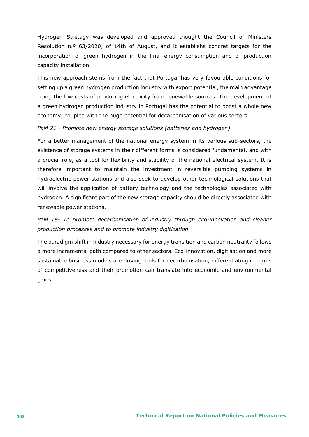Hydrogen Stretagy was developed and approved thought the Council of Ministers Resolution n.º 63/2020, of 14th of August, and it establishs concret targets for the incorporation of green hydrogen in the final energy consumption and of production capacity installation.

This new approach stems from the fact that Portugal has very favourable conditions for setting up a green hydrogen production industry with export potential, the main advantage being the low costs of producing electricity from renewable sources. The development of a green hydrogen production industry in Portugal has the potential to boost a whole new economy, coupled with the huge potential for decarbonisation of various sectors.

#### *PaM 21 - Promote new energy storage solutions (batteries and hydrogen).*

For a better management of the national energy system in its various sub-sectors, the existence of storage systems in their different forms is considered fundamental, and with a crucial role, as a tool for flexibility and stability of the national electrical system. It is therefore important to maintain the investment in reversible pumping systems in hydroelectric power stations and also seek to develop other technological solutions that will involve the application of battery technology and the technologies associated with hydrogen. A significant part of the new storage capacity should be directly associated with renewable power stations.

#### *PaM 18- To promote decarbonisation of industry through eco-innovation and cleaner production processes and to promote industry digitization.*

The paradigm shift in industry necessary for energy transition and carbon neutrality follows a more incremental path compared to other sectors. Eco-innovation, digitisation and more sustainable business models are driving tools for decarbonisation, differentiating in terms of competitiveness and their promotion can translate into economic and environmental gains.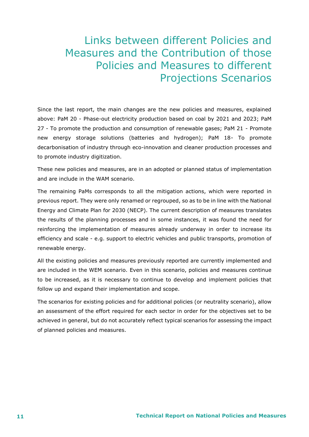## <span id="page-10-0"></span>Links between different Policies and Measures and the Contribution of those Policies and Measures to different Projections Scenarios

Since the last report, the main changes are the new policies and measures, explained above: PaM 20 - Phase-out electricity production based on coal by 2021 and 2023; PaM 27 - To promote the production and consumption of renewable gases; PaM 21 - Promote new energy storage solutions (batteries and hydrogen); PaM 18- To promote decarbonisation of industry through eco-innovation and cleaner production processes and to promote industry digitization.

These new policies and measures, are in an adopted or planned status of implementation and are include in the WAM scenario.

The remaining PaMs corresponds to all the mitigation actions, which were reported in previous report. They were only renamed or regrouped, so as to be in line with the National Energy and Climate Plan for 2030 (NECP). The current description of measures translates the results of the planning processes and in some instances, it was found the need for reinforcing the implementation of measures already underway in order to increase its efficiency and scale - e.g. support to electric vehicles and public transports, promotion of renewable energy.

All the existing policies and measures previously reported are currently implemented and are included in the WEM scenario. Even in this scenario, policies and measures continue to be increased, as it is necessary to continue to develop and implement policies that follow up and expand their implementation and scope.

The scenarios for existing policies and for additional policies (or neutrality scenario), allow an assessment of the effort required for each sector in order for the objectives set to be achieved in general, but do not accurately reflect typical scenarios for assessing the impact of planned policies and measures.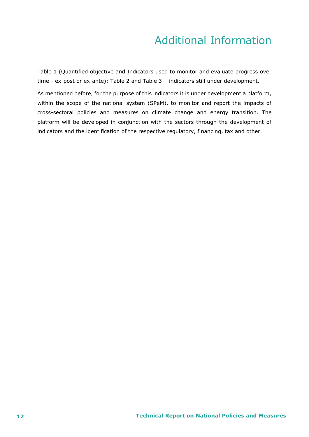# Additional Information

<span id="page-11-0"></span>Table 1 (Quantified objective and Indicators used to monitor and evaluate progress over time - ex-post or ex-ante); Table 2 and Table 3 – indicators still under development.

As mentioned before, for the purpose of this indicators it is under development a platform, within the scope of the national system (SPeM), to monitor and report the impacts of cross-sectoral policies and measures on climate change and energy transition. The platform will be developed in conjunction with the sectors through the development of indicators and the identification of the respective regulatory, financing, tax and other.